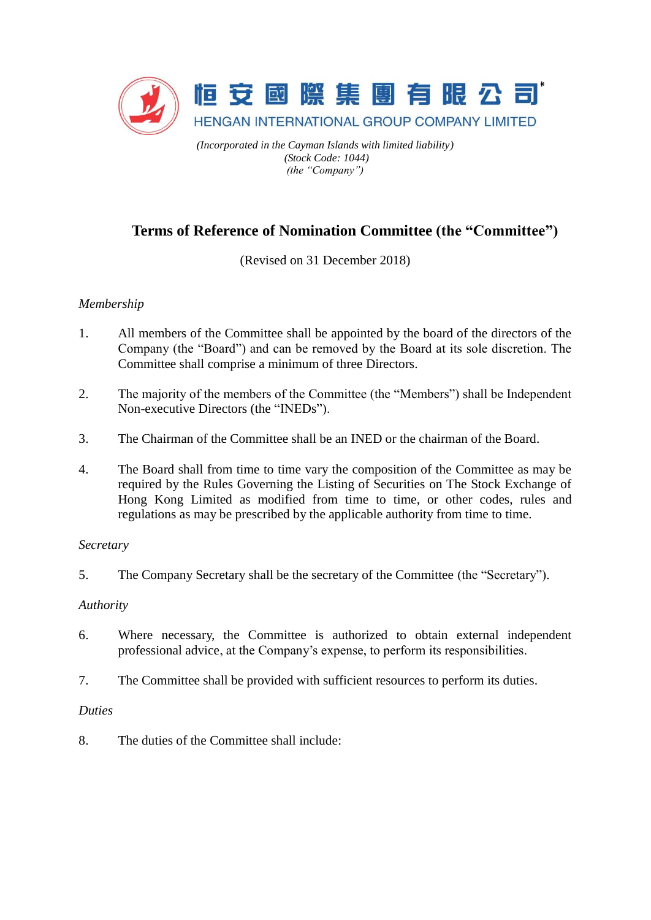

*(Incorporated in the Cayman Islands with limited liability) (Stock Code: 1044) (the "Company")*

# **Terms of Reference of Nomination Committee (the "Committee")**

(Revised on 31 December 2018)

## *Membership*

- 1. All members of the Committee shall be appointed by the board of the directors of the Company (the "Board") and can be removed by the Board at its sole discretion. The Committee shall comprise a minimum of three Directors.
- 2. The majority of the members of the Committee (the "Members") shall be Independent Non-executive Directors (the "INEDs").
- 3. The Chairman of the Committee shall be an INED or the chairman of the Board.
- 4. The Board shall from time to time vary the composition of the Committee as may be required by the Rules Governing the Listing of Securities on The Stock Exchange of Hong Kong Limited as modified from time to time, or other codes, rules and regulations as may be prescribed by the applicable authority from time to time.

#### *Secretary*

5. The Company Secretary shall be the secretary of the Committee (the "Secretary").

## *Authority*

- 6. Where necessary, the Committee is authorized to obtain external independent professional advice, at the Company's expense, to perform its responsibilities.
- 7. The Committee shall be provided with sufficient resources to perform its duties.

#### *Duties*

8. The duties of the Committee shall include: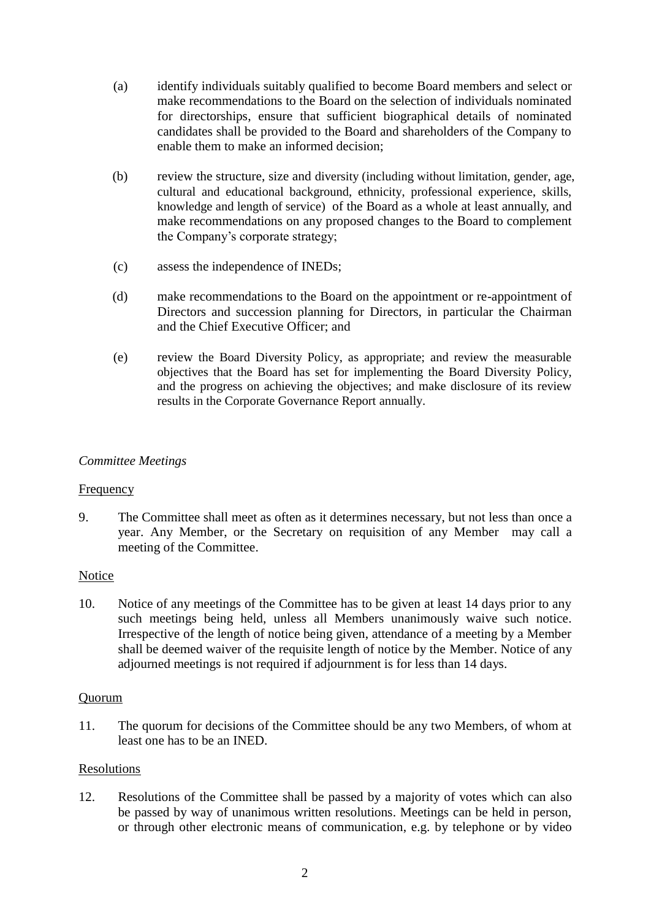- (a) identify individuals suitably qualified to become Board members and select or make recommendations to the Board on the selection of individuals nominated for directorships, ensure that sufficient biographical details of nominated candidates shall be provided to the Board and shareholders of the Company to enable them to make an informed decision;
- (b) review the structure, size and diversity (including without limitation, gender, age, cultural and educational background, ethnicity, professional experience, skills, knowledge and length of service) of the Board as a whole at least annually, and make recommendations on any proposed changes to the Board to complement the Company's corporate strategy;
- (c) assess the independence of INEDs;
- (d) make recommendations to the Board on the appointment or re-appointment of Directors and succession planning for Directors, in particular the Chairman and the Chief Executive Officer; and
- (e) review the Board Diversity Policy, as appropriate; and review the measurable objectives that the Board has set for implementing the Board Diversity Policy, and the progress on achieving the objectives; and make disclosure of its review results in the Corporate Governance Report annually.

## *Committee Meetings*

#### Frequency

9. The Committee shall meet as often as it determines necessary, but not less than once a year. Any Member, or the Secretary on requisition of any Member may call a meeting of the Committee.

#### Notice

10. Notice of any meetings of the Committee has to be given at least 14 days prior to any such meetings being held, unless all Members unanimously waive such notice. Irrespective of the length of notice being given, attendance of a meeting by a Member shall be deemed waiver of the requisite length of notice by the Member. Notice of any adjourned meetings is not required if adjournment is for less than 14 days.

#### Quorum

11. The quorum for decisions of the Committee should be any two Members, of whom at least one has to be an INED.

#### Resolutions

12. Resolutions of the Committee shall be passed by a majority of votes which can also be passed by way of unanimous written resolutions. Meetings can be held in person, or through other electronic means of communication, e.g. by telephone or by video